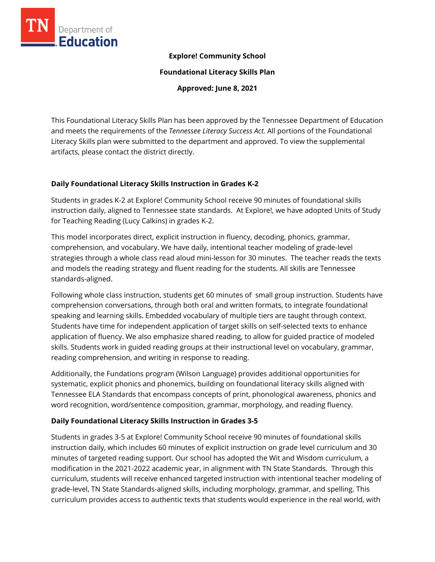

## **Explore! Community School**

**Foundational Literacy Skills Plan**

**Approved: June 8, 2021**

This Foundational Literacy Skills Plan has been approved by the Tennessee Department of Education and meets the requirements of the *Tennessee Literacy Success Act.* All portions of the Foundational Literacy Skills plan were submitted to the department and approved. To view the supplemental artifacts, please contact the district directly.

### **Daily Foundational Literacy Skills Instruction in Grades K-2**

Students in grades K-2 at Explore! Community School receive 90 minutes of foundational skills instruction daily, aligned to Tennessee state standards. At Explore!, we have adopted Units of Study for Teaching Reading (Lucy Calkins) in grades K-2.

This model incorporates direct, explicit instruction in fluency, decoding, phonics, grammar, comprehension, and vocabulary. We have daily, intentional teacher modeling of grade-level strategies through a whole class read aloud mini-lesson for 30 minutes. The teacher reads the texts and models the reading strategy and fluent reading for the students. All skills are Tennessee standards-aligned.

Following whole class instruction, students get 60 minutes of small group instruction. Students have comprehension conversations, through both oral and written formats, to integrate foundational speaking and learning skills. Embedded vocabulary of multiple tiers are taught through context. Students have time for independent application of target skills on self-selected texts to enhance application of fluency. We also emphasize shared reading, to allow for guided practice of modeled skills. Students work in guided reading groups at their instructional level on vocabulary, grammar, reading comprehension, and writing in response to reading.

Additionally, the Fundations program (Wilson Language) provides additional opportunities for systematic, explicit phonics and phonemics, building on foundational literacy skills aligned with Tennessee ELA Standards that encompass concepts of print, phonological awareness, phonics and word recognition, word/sentence composition, grammar, morphology, and reading fluency.

## **Daily Foundational Literacy Skills Instruction in Grades 3-5**

Students in grades 3-5 at Explore! Community School receive 90 minutes of foundational skills instruction daily, which includes 60 minutes of explicit instruction on grade level curriculum and 30 minutes of targeted reading support. Our school has adopted the Wit and Wisdom curriculum, a modification in the 2021-2022 academic year, in alignment with TN State Standards. Through this curriculum, students will receive enhanced targeted instruction with intentional teacher modeling of grade-level, TN State Standards-aligned skills, including morphology, grammar, and spelling. This curriculum provides access to authentic texts that students would experience in the real world, with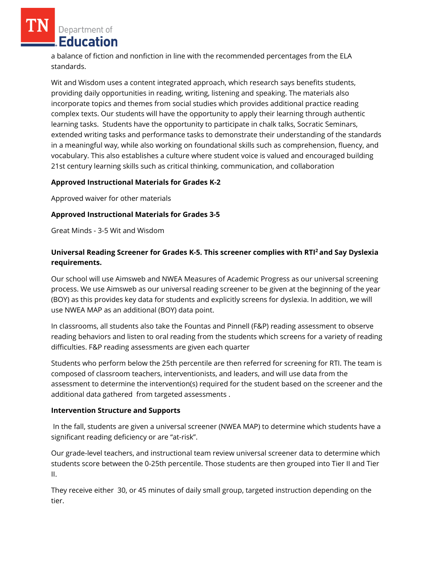Department of **Education** 

a balance of fiction and nonfiction in line with the recommended percentages from the ELA standards.

Wit and Wisdom uses a content integrated approach, which research says benefits students, providing daily opportunities in reading, writing, listening and speaking. The materials also incorporate topics and themes from social studies which provides additional practice reading complex texts. Our students will have the opportunity to apply their learning through authentic learning tasks. Students have the opportunity to participate in chalk talks, Socratic Seminars, extended writing tasks and performance tasks to demonstrate their understanding of the standards in a meaningful way, while also working on foundational skills such as comprehension, fluency, and vocabulary. This also establishes a culture where student voice is valued and encouraged building 21st century learning skills such as critical thinking, communication, and collaboration

### **Approved Instructional Materials for Grades K-2**

Approved waiver for other materials

### **Approved Instructional Materials for Grades 3-5**

Great Minds - 3-5 Wit and Wisdom

## **Universal Reading Screener for Grades K-5. This screener complies with RTI<sup>2</sup>and Say Dyslexia requirements.**

Our school will use Aimsweb and NWEA Measures of Academic Progress as our universal screening process. We use Aimsweb as our universal reading screener to be given at the beginning of the year (BOY) as this provides key data for students and explicitly screens for dyslexia. In addition, we will use NWEA MAP as an additional (BOY) data point.

In classrooms, all students also take the Fountas and Pinnell (F&P) reading assessment to observe reading behaviors and listen to oral reading from the students which screens for a variety of reading difficulties. F&P reading assessments are given each quarter

Students who perform below the 25th percentile are then referred for screening for RTI. The team is composed of classroom teachers, interventionists, and leaders, and will use data from the assessment to determine the intervention(s) required for the student based on the screener and the additional data gathered from targeted assessments .

### **Intervention Structure and Supports**

In the fall, students are given a universal screener (NWEA MAP) to determine which students have a significant reading deficiency or are "at-risk".

Our grade-level teachers, and instructional team review universal screener data to determine which students score between the 0-25th percentile. Those students are then grouped into Tier II and Tier II.

They receive either 30, or 45 minutes of daily small group, targeted instruction depending on the tier.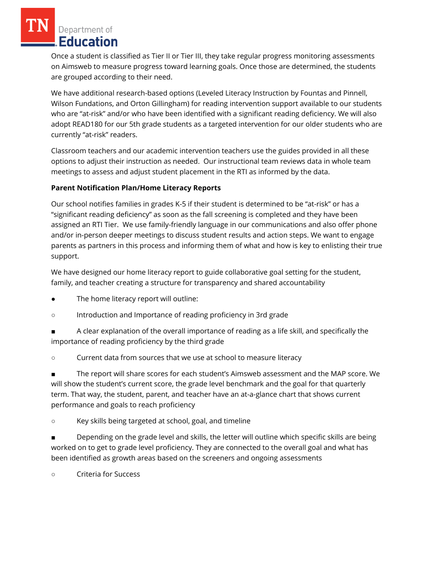Department of **Education** 

Once a student is classified as Tier II or Tier III, they take regular progress monitoring assessments on Aimsweb to measure progress toward learning goals. Once those are determined, the students are grouped according to their need.

We have additional research-based options (Leveled Literacy Instruction by Fountas and Pinnell, Wilson Fundations, and Orton Gillingham) for reading intervention support available to our students who are "at-risk" and/or who have been identified with a significant reading deficiency. We will also adopt READ180 for our 5th grade students as a targeted intervention for our older students who are currently "at-risk" readers.

Classroom teachers and our academic intervention teachers use the guides provided in all these options to adjust their instruction as needed. Our instructional team reviews data in whole team meetings to assess and adjust student placement in the RTI as informed by the data.

## **Parent Notification Plan/Home Literacy Reports**

Our school notifies families in grades K-5 if their student is determined to be "at-risk" or has a "significant reading deficiency" as soon as the fall screening is completed and they have been assigned an RTI Tier. We use family-friendly language in our communications and also offer phone and/or in-person deeper meetings to discuss student results and action steps. We want to engage parents as partners in this process and informing them of what and how is key to enlisting their true support.

We have designed our home literacy report to guide collaborative goal setting for the student, family, and teacher creating a structure for transparency and shared accountability

- The home literacy report will outline:
- Introduction and Importance of reading proficiency in 3rd grade
- A clear explanation of the overall importance of reading as a life skill, and specifically the importance of reading proficiency by the third grade
- Current data from sources that we use at school to measure literacy

The report will share scores for each student's Aimsweb assessment and the MAP score. We will show the student's current score, the grade level benchmark and the goal for that quarterly term. That way, the student, parent, and teacher have an at-a-glance chart that shows current performance and goals to reach proficiency

○ Key skills being targeted at school, goal, and timeline

Depending on the grade level and skills, the letter will outline which specific skills are being worked on to get to grade level proficiency. They are connected to the overall goal and what has been identified as growth areas based on the screeners and ongoing assessments

○ Criteria for Success